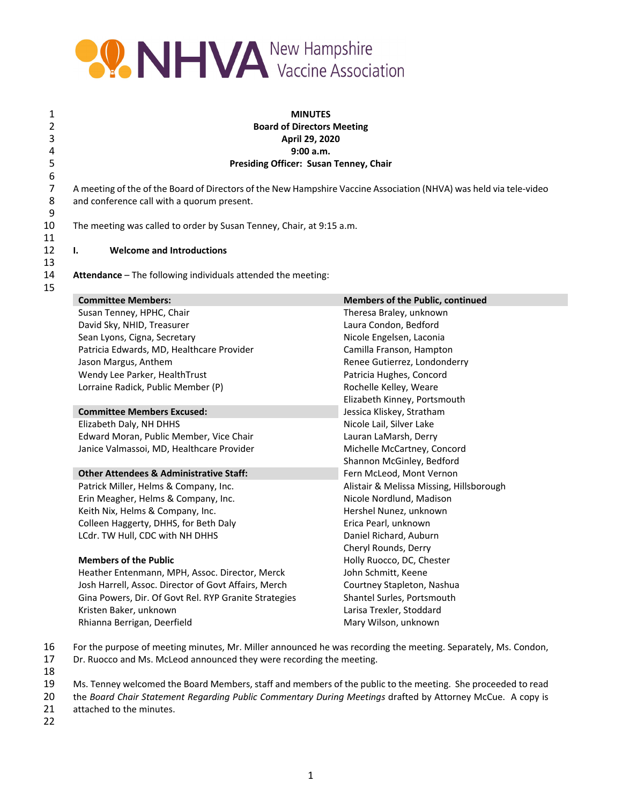

## 1 **MINUTES** 2 **Board of Directors Meeting** 3 **April 29, 2020** 4 **9:00 a.m.** 5 **Presiding Officer: Susan Tenney, Chair**

7 A meeting of the of the Board of Directors of the New Hampshire Vaccine Association (NHVA) was held via tele-video<br>8 and conference call with a quorum present. and conference call with a quorum present.

10 The meeting was called to order by Susan Tenney, Chair, at 9:15 a.m.

12 **I. Welcome and Introductions**

14 **Attendance** – The following individuals attended the meeting:

| <b>Committee Members:</b>                             | <b>Members of the Public, continued</b>                  |  |  |
|-------------------------------------------------------|----------------------------------------------------------|--|--|
| Susan Tenney, HPHC, Chair                             | Theresa Braley, unknown                                  |  |  |
| David Sky, NHID, Treasurer                            | Laura Condon, Bedford                                    |  |  |
| Sean Lyons, Cigna, Secretary                          | Nicole Engelsen, Laconia                                 |  |  |
| Patricia Edwards, MD, Healthcare Provider             | Camilla Franson, Hampton<br>Renee Gutierrez, Londonderry |  |  |
| Jason Margus, Anthem                                  |                                                          |  |  |
| Wendy Lee Parker, HealthTrust                         | Patricia Hughes, Concord                                 |  |  |
| Lorraine Radick, Public Member (P)                    | Rochelle Kelley, Weare                                   |  |  |
|                                                       | Elizabeth Kinney, Portsmouth                             |  |  |
| <b>Committee Members Excused:</b>                     | Jessica Kliskey, Stratham                                |  |  |
| Elizabeth Daly, NH DHHS                               | Nicole Lail, Silver Lake                                 |  |  |
| Edward Moran, Public Member, Vice Chair               | Lauran LaMarsh, Derry                                    |  |  |
| Janice Valmassoi, MD, Healthcare Provider             | Michelle McCartney, Concord                              |  |  |
|                                                       | Shannon McGinley, Bedford                                |  |  |
| <b>Other Attendees &amp; Administrative Staff:</b>    | Fern McLeod, Mont Vernon                                 |  |  |
| Patrick Miller, Helms & Company, Inc.                 | Alistair & Melissa Missing, Hillsborough                 |  |  |
| Erin Meagher, Helms & Company, Inc.                   | Nicole Nordlund, Madison                                 |  |  |
| Keith Nix, Helms & Company, Inc.                      | Hershel Nunez, unknown                                   |  |  |
| Colleen Haggerty, DHHS, for Beth Daly                 | Erica Pearl, unknown                                     |  |  |
| LCdr. TW Hull, CDC with NH DHHS                       | Daniel Richard, Auburn                                   |  |  |
|                                                       | Cheryl Rounds, Derry                                     |  |  |
| <b>Members of the Public</b>                          | Holly Ruocco, DC, Chester                                |  |  |
| Heather Entenmann, MPH, Assoc. Director, Merck        | John Schmitt, Keene                                      |  |  |
| Josh Harrell, Assoc. Director of Govt Affairs, Merch  | Courtney Stapleton, Nashua                               |  |  |
| Gina Powers, Dir. Of Govt Rel. RYP Granite Strategies | Shantel Surles, Portsmouth                               |  |  |
| Kristen Baker, unknown                                | Larisa Trexler, Stoddard                                 |  |  |
| Rhianna Berrigan, Deerfield                           | Mary Wilson, unknown                                     |  |  |

- 16 For the purpose of meeting minutes, Mr. Miller announced he was recording the meeting. Separately, Ms. Condon,
- 17 Dr. Ruocco and Ms. McLeod announced they were recording the meeting.
- 18
- 19 Ms. Tenney welcomed the Board Members, staff and members of the public to the meeting. She proceeded to read
- 20 the *Board Chair Statement Regarding Public Commentary During Meetings* drafted by Attorney McCue. A copy is attached to the minutes.
- 22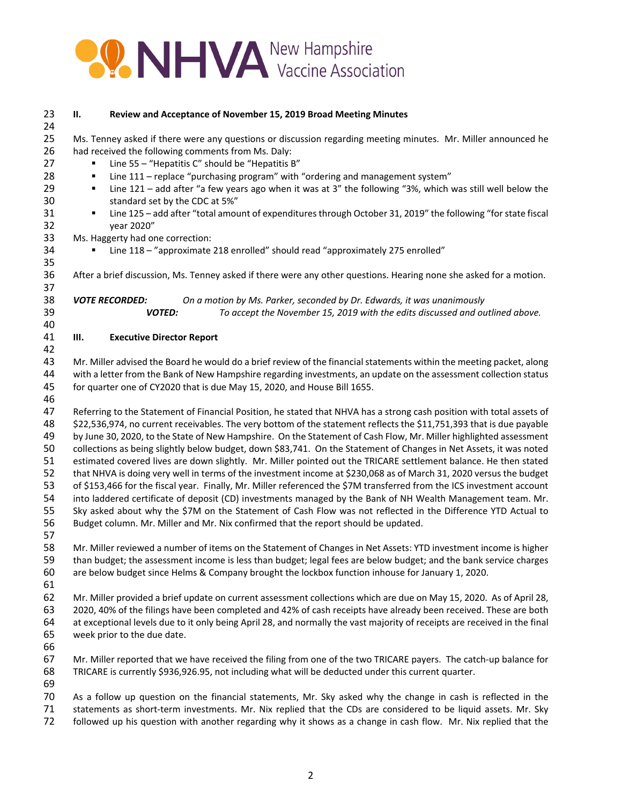

| 23<br>24       | П.                                                                                                                                                                                                                     | Review and Acceptance of November 15, 2019 Broad Meeting Minutes                                                                                                                                                                                                                                                                                   |  |  |  |  |
|----------------|------------------------------------------------------------------------------------------------------------------------------------------------------------------------------------------------------------------------|----------------------------------------------------------------------------------------------------------------------------------------------------------------------------------------------------------------------------------------------------------------------------------------------------------------------------------------------------|--|--|--|--|
| 25<br>26<br>27 | Ms. Tenney asked if there were any questions or discussion regarding meeting minutes. Mr. Miller announced he<br>had received the following comments from Ms. Daly:<br>Line 55 - "Hepatitis C" should be "Hepatitis B" |                                                                                                                                                                                                                                                                                                                                                    |  |  |  |  |
| 28<br>29<br>30 | ٠<br>٠                                                                                                                                                                                                                 | Line 111 - replace "purchasing program" with "ordering and management system"<br>Line 121 - add after "a few years ago when it was at 3" the following "3%, which was still well below the<br>standard set by the CDC at 5%"                                                                                                                       |  |  |  |  |
| 31<br>32       | ٠                                                                                                                                                                                                                      | Line 125 - add after "total amount of expenditures through October 31, 2019" the following "for state fiscal<br>year 2020"                                                                                                                                                                                                                         |  |  |  |  |
| 33             |                                                                                                                                                                                                                        | Ms. Haggerty had one correction:                                                                                                                                                                                                                                                                                                                   |  |  |  |  |
| 34<br>35       |                                                                                                                                                                                                                        | Line 118 - "approximate 218 enrolled" should read "approximately 275 enrolled"                                                                                                                                                                                                                                                                     |  |  |  |  |
| 36<br>37       |                                                                                                                                                                                                                        | After a brief discussion, Ms. Tenney asked if there were any other questions. Hearing none she asked for a motion.                                                                                                                                                                                                                                 |  |  |  |  |
| 38<br>39<br>40 |                                                                                                                                                                                                                        | <b>VOTE RECORDED:</b><br>On a motion by Ms. Parker, seconded by Dr. Edwards, it was unanimously<br>To accept the November 15, 2019 with the edits discussed and outlined above.<br><b>VOTED:</b>                                                                                                                                                   |  |  |  |  |
| 41<br>42       | Ш.                                                                                                                                                                                                                     | <b>Executive Director Report</b>                                                                                                                                                                                                                                                                                                                   |  |  |  |  |
| 43             |                                                                                                                                                                                                                        | Mr. Miller advised the Board he would do a brief review of the financial statements within the meeting packet, along                                                                                                                                                                                                                               |  |  |  |  |
| 44             |                                                                                                                                                                                                                        | with a letter from the Bank of New Hampshire regarding investments, an update on the assessment collection status                                                                                                                                                                                                                                  |  |  |  |  |
| 45<br>46       |                                                                                                                                                                                                                        | for quarter one of CY2020 that is due May 15, 2020, and House Bill 1655.                                                                                                                                                                                                                                                                           |  |  |  |  |
| 47             |                                                                                                                                                                                                                        | Referring to the Statement of Financial Position, he stated that NHVA has a strong cash position with total assets of                                                                                                                                                                                                                              |  |  |  |  |
| 48             |                                                                                                                                                                                                                        | \$22,536,974, no current receivables. The very bottom of the statement reflects the \$11,751,393 that is due payable                                                                                                                                                                                                                               |  |  |  |  |
| 49             |                                                                                                                                                                                                                        | by June 30, 2020, to the State of New Hampshire. On the Statement of Cash Flow, Mr. Miller highlighted assessment                                                                                                                                                                                                                                  |  |  |  |  |
| 50             |                                                                                                                                                                                                                        | collections as being slightly below budget, down \$83,741. On the Statement of Changes in Net Assets, it was noted                                                                                                                                                                                                                                 |  |  |  |  |
| 51             |                                                                                                                                                                                                                        | estimated covered lives are down slightly. Mr. Miller pointed out the TRICARE settlement balance. He then stated                                                                                                                                                                                                                                   |  |  |  |  |
| 52             |                                                                                                                                                                                                                        | that NHVA is doing very well in terms of the investment income at \$230,068 as of March 31, 2020 versus the budget                                                                                                                                                                                                                                 |  |  |  |  |
| 53             |                                                                                                                                                                                                                        | of \$153,466 for the fiscal year. Finally, Mr. Miller referenced the \$7M transferred from the ICS investment account                                                                                                                                                                                                                              |  |  |  |  |
| 54             |                                                                                                                                                                                                                        | into laddered certificate of deposit (CD) investments managed by the Bank of NH Wealth Management team. Mr.                                                                                                                                                                                                                                        |  |  |  |  |
| 55             |                                                                                                                                                                                                                        | Sky asked about why the \$7M on the Statement of Cash Flow was not reflected in the Difference YTD Actual to                                                                                                                                                                                                                                       |  |  |  |  |
| 56             |                                                                                                                                                                                                                        | Budget column. Mr. Miller and Mr. Nix confirmed that the report should be updated.                                                                                                                                                                                                                                                                 |  |  |  |  |
| 57             |                                                                                                                                                                                                                        |                                                                                                                                                                                                                                                                                                                                                    |  |  |  |  |
| 58             |                                                                                                                                                                                                                        | Mr. Miller reviewed a number of items on the Statement of Changes in Net Assets: YTD investment income is higher                                                                                                                                                                                                                                   |  |  |  |  |
| 59             |                                                                                                                                                                                                                        | than budget; the assessment income is less than budget; legal fees are below budget; and the bank service charges                                                                                                                                                                                                                                  |  |  |  |  |
| 60             |                                                                                                                                                                                                                        | are below budget since Helms & Company brought the lockbox function inhouse for January 1, 2020.                                                                                                                                                                                                                                                   |  |  |  |  |
| 61             |                                                                                                                                                                                                                        |                                                                                                                                                                                                                                                                                                                                                    |  |  |  |  |
| 62             |                                                                                                                                                                                                                        | Mr. Miller provided a brief update on current assessment collections which are due on May 15, 2020. As of April 28,                                                                                                                                                                                                                                |  |  |  |  |
| 63             |                                                                                                                                                                                                                        | 2020, 40% of the filings have been completed and 42% of cash receipts have already been received. These are both                                                                                                                                                                                                                                   |  |  |  |  |
| 64             |                                                                                                                                                                                                                        | at exceptional levels due to it only being April 28, and normally the vast majority of receipts are received in the final                                                                                                                                                                                                                          |  |  |  |  |
| 65             |                                                                                                                                                                                                                        | week prior to the due date.                                                                                                                                                                                                                                                                                                                        |  |  |  |  |
| 66             |                                                                                                                                                                                                                        |                                                                                                                                                                                                                                                                                                                                                    |  |  |  |  |
| 67<br>68       |                                                                                                                                                                                                                        | Mr. Miller reported that we have received the filing from one of the two TRICARE payers. The catch-up balance for<br>TRICARE is currently \$936,926.95, not including what will be deducted under this current quarter.                                                                                                                            |  |  |  |  |
| 69             |                                                                                                                                                                                                                        |                                                                                                                                                                                                                                                                                                                                                    |  |  |  |  |
| 70<br>71<br>72 |                                                                                                                                                                                                                        | As a follow up question on the financial statements, Mr. Sky asked why the change in cash is reflected in the<br>statements as short-term investments. Mr. Nix replied that the CDs are considered to be liquid assets. Mr. Sky<br>followed up his question with another regarding why it shows as a change in cash flow. Mr. Nix replied that the |  |  |  |  |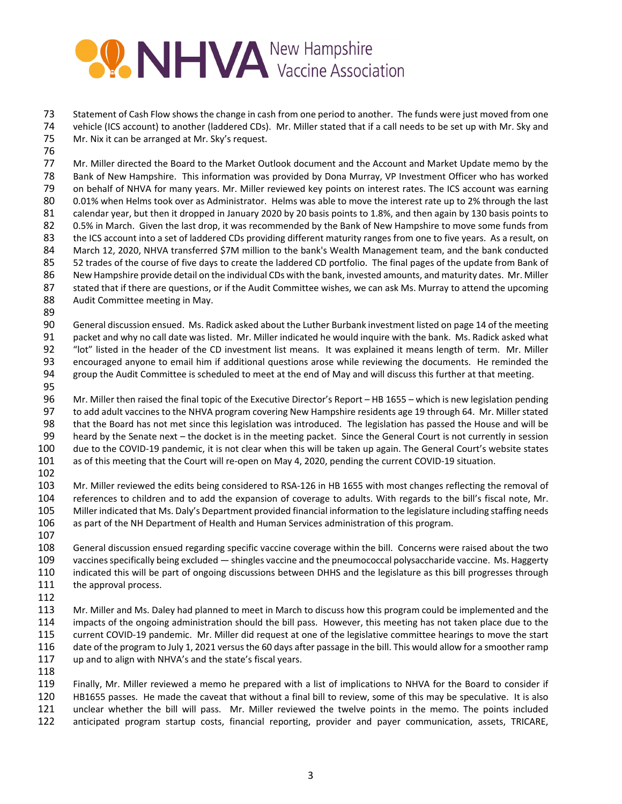## **PONHVA** New Hampshire

 Statement of Cash Flow shows the change in cash from one period to another. The funds were just moved from one vehicle (ICS account) to another (laddered CDs). Mr. Miller stated that if a call needs to be set up with Mr. Sky and Mr. Nix it can be arranged at Mr. Sky's request.

 Mr. Miller directed the Board to the Market Outlook document and the Account and Market Update memo by the Bank of New Hampshire. This information was provided by Dona Murray, VP Investment Officer who has worked on behalf of NHVA for many years. Mr. Miller reviewed key points on interest rates. The ICS account was earning 0.01% when Helms took over as Administrator. Helms was able to move the interest rate up to 2% through the last calendar year, but then it dropped in January 2020 by 20 basis points to 1.8%, and then again by 130 basis points to 82 0.5% in March. Given the last drop, it was recommended by the Bank of New Hampshire to move some funds from 83 the ICS account into a set of laddered CDs providing different maturity ranges from one to five years. As a result, on March 12, 2020, NHVA transferred \$7M million to the bank's Wealth Management team, and the bank conducted 52 trades of the course of five days to create the laddered CD portfolio. The final pages of the update from Bank of New Hampshire provide detail on the individual CDs with the bank, invested amounts, and maturity dates. Mr. Miller 87 stated that if there are questions, or if the Audit Committee wishes, we can ask Ms. Murray to attend the upcoming Audit Committee meeting in May.

 General discussion ensued. Ms. Radick asked about the Luther Burbank investment listed on page 14 of the meeting packet and why no call date was listed. Mr. Miller indicated he would inquire with the bank. Ms. Radick asked what "lot" listed in the header of the CD investment list means. It was explained it means length of term. Mr. Miller encouraged anyone to email him if additional questions arose while reviewing the documents. He reminded the group the Audit Committee is scheduled to meet at the end of May and will discuss this further at that meeting.

 Mr. Miller then raised the final topic of the Executive Director's Report – HB 1655 – which is new legislation pending to add adult vaccines to the NHVA program covering New Hampshire residents age 19 through 64. Mr. Miller stated that the Board has not met since this legislation was introduced. The legislation has passed the House and will be heard by the Senate next – the docket is in the meeting packet. Since the General Court is not currently in session 100 due to the COVID-19 pandemic, it is not clear when this will be taken up again. The General Court's website states 101 as of this meeting that the Court will re-open on May 4, 2020, pending the current COVID-19 situation.

103 Mr. Miller reviewed the edits being considered to RSA-126 in HB 1655 with most changes reflecting the removal of references to children and to add the expansion of coverage to adults. With regards to the bill's fiscal note, Mr. Miller indicated that Ms. Daly's Department provided financial information to the legislature including staffing needs as part of the NH Department of Health and Human Services administration of this program. 

- General discussion ensued regarding specific vaccine coverage within the bill. Concerns were raised about the two 109 vaccines specifically being excluded — shingles vaccine and the pneumococcal polysaccharide vaccine. Ms. Haggerty indicated this will be part of ongoing discussions between DHHS and the legislature as this bill progresses through 111 the approval process.
- 

113 Mr. Miller and Ms. Daley had planned to meet in March to discuss how this program could be implemented and the impacts of the ongoing administration should the bill pass. However, this meeting has not taken place due to the current COVID‐19 pandemic. Mr. Miller did request at one of the legislative committee hearings to move the start 116 date of the program to July 1, 2021 versus the 60 days after passage in the bill. This would allow for a smoother ramp up and to align with NHVA's and the state's fiscal years.

 Finally, Mr. Miller reviewed a memo he prepared with a list of implications to NHVA for the Board to consider if HB1655 passes. He made the caveat that without a final bill to review, some of this may be speculative. It is also unclear whether the bill will pass. Mr. Miller reviewed the twelve points in the memo. The points included anticipated program startup costs, financial reporting, provider and payer communication, assets, TRICARE,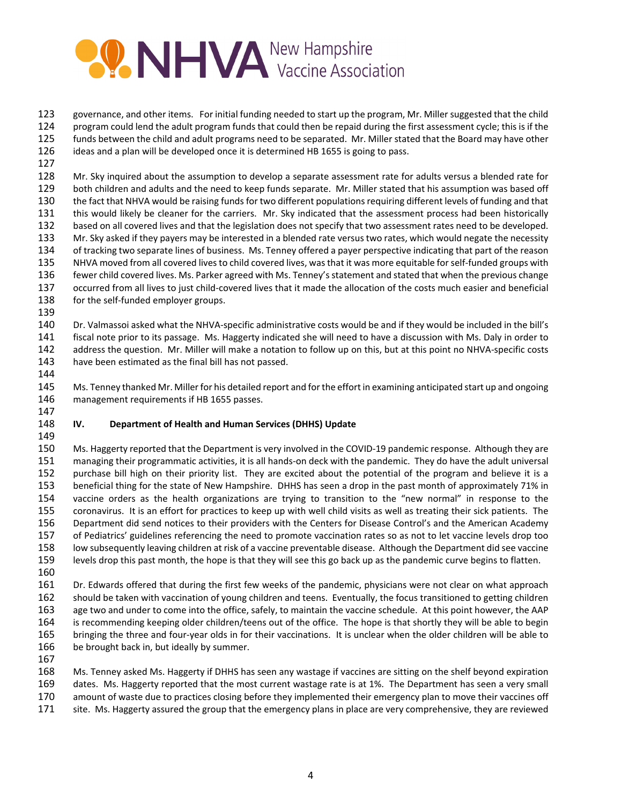

 governance, and other items. For initial funding needed to start up the program, Mr. Miller suggested that the child program could lend the adult program funds that could then be repaid during the first assessment cycle; this is if the funds between the child and adult programs need to be separated. Mr. Miller stated that the Board may have other ideas and a plan will be developed once it is determined HB 1655 is going to pass.

128 Mr. Sky inquired about the assumption to develop a separate assessment rate for adults versus a blended rate for both children and adults and the need to keep funds separate. Mr. Miller stated that his assumption was based off 130 the fact that NHVA would be raising funds for two different populations requiring different levels of funding and that this would likely be cleaner for the carriers. Mr. Sky indicated that the assessment process had been historically based on all covered lives and that the legislation does not specify that two assessment rates need to be developed. Mr. Sky asked if they payers may be interested in a blended rate versus two rates, which would negate the necessity of tracking two separate lines of business. Ms. Tenney offered a payer perspective indicating that part of the reason 135 NHVA moved from all covered lives to child covered lives, was that it was more equitable for self-funded groups with fewer child covered lives. Ms. Parker agreed with Ms. Tenney'sstatement and stated that when the previous change 137 occurred from all lives to just child-covered lives that it made the allocation of the costs much easier and beneficial 138 for the self-funded employer groups.

140 Dr. Valmassoi asked what the NHVA-specific administrative costs would be and if they would be included in the bill's fiscal note prior to its passage. Ms. Haggerty indicated she will need to have a discussion with Ms. Daly in order to 142 address the question. Mr. Miller will make a notation to follow up on this, but at this point no NHVA-specific costs have been estimated as the final bill has not passed.

145 Ms. Tenney thanked Mr. Miller for his detailed report and for the effort in examining anticipated start up and ongoing management requirements if HB 1655 passes.

## **IV. Department of Health and Human Services (DHHS) Update**

150 Ms. Haggerty reported that the Department is very involved in the COVID-19 pandemic response. Although they are managing their programmatic activities, it is all hands‐on deck with the pandemic. They do have the adult universal purchase bill high on their priority list. They are excited about the potential of the program and believe it is a beneficial thing for the state of New Hampshire. DHHS has seen a drop in the past month of approximately 71% in vaccine orders as the health organizations are trying to transition to the "new normal" in response to the coronavirus. It is an effort for practices to keep up with well child visits as well as treating their sick patients. The Department did send notices to their providers with the Centers for Disease Control's and the American Academy of Pediatrics' guidelines referencing the need to promote vaccination rates so as not to let vaccine levels drop too low subsequently leaving children at risk of a vaccine preventable disease. Although the Department did see vaccine levels drop this past month, the hope is that they will see this go back up as the pandemic curve begins to flatten. 

- Dr. Edwards offered that during the first few weeks of the pandemic, physicians were not clear on what approach should be taken with vaccination of young children and teens. Eventually, the focus transitioned to getting children age two and under to come into the office, safely, to maintain the vaccine schedule. At this point however, the AAP is recommending keeping older children/teens out of the office. The hope is that shortly they will be able to begin 165 bringing the three and four-year olds in for their vaccinations. It is unclear when the older children will be able to 166 be brought back in, but ideally by summer.
- 

 Ms. Tenney asked Ms. Haggerty if DHHS has seen any wastage if vaccines are sitting on the shelf beyond expiration dates. Ms. Haggerty reported that the most current wastage rate is at 1%. The Department has seen a very small amount of waste due to practices closing before they implemented their emergency plan to move their vaccines off

site. Ms. Haggerty assured the group that the emergency plans in place are very comprehensive, they are reviewed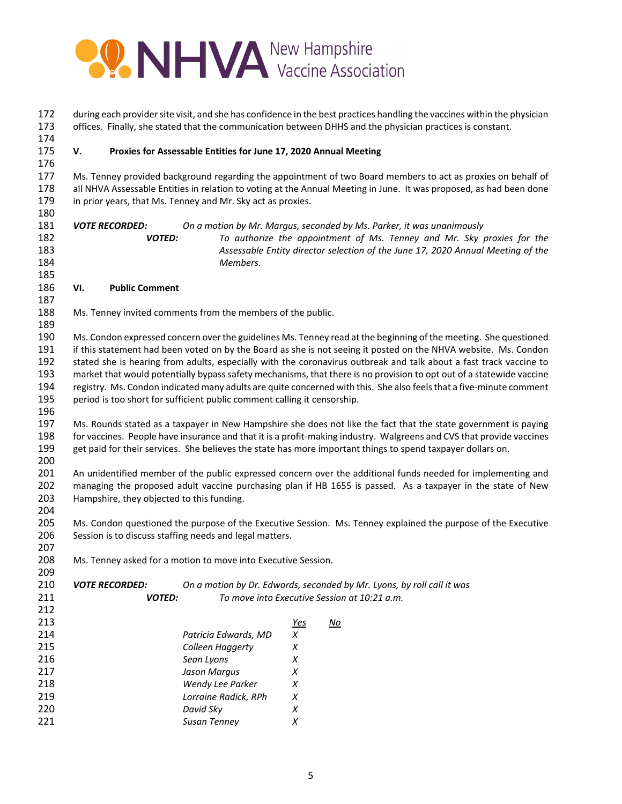

| 172<br>173 |                                                                                                                                                                                                                                     |                                           |                                                                  |            | during each provider site visit, and she has confidence in the best practices handling the vaccines within the physician<br>offices. Finally, she stated that the communication between DHHS and the physician practices is constant. |  |  |
|------------|-------------------------------------------------------------------------------------------------------------------------------------------------------------------------------------------------------------------------------------|-------------------------------------------|------------------------------------------------------------------|------------|---------------------------------------------------------------------------------------------------------------------------------------------------------------------------------------------------------------------------------------|--|--|
| 174        |                                                                                                                                                                                                                                     |                                           |                                                                  |            |                                                                                                                                                                                                                                       |  |  |
| 175        | V.                                                                                                                                                                                                                                  |                                           | Proxies for Assessable Entities for June 17, 2020 Annual Meeting |            |                                                                                                                                                                                                                                       |  |  |
| 176        |                                                                                                                                                                                                                                     |                                           |                                                                  |            |                                                                                                                                                                                                                                       |  |  |
| 177        | Ms. Tenney provided background regarding the appointment of two Board members to act as proxies on behalf of                                                                                                                        |                                           |                                                                  |            |                                                                                                                                                                                                                                       |  |  |
| 178        |                                                                                                                                                                                                                                     |                                           |                                                                  |            | all NHVA Assessable Entities in relation to voting at the Annual Meeting in June. It was proposed, as had been done                                                                                                                   |  |  |
| 179        |                                                                                                                                                                                                                                     |                                           | in prior years, that Ms. Tenney and Mr. Sky act as proxies.      |            |                                                                                                                                                                                                                                       |  |  |
| 180        |                                                                                                                                                                                                                                     |                                           |                                                                  |            |                                                                                                                                                                                                                                       |  |  |
| 181        |                                                                                                                                                                                                                                     | <b>VOTE RECORDED:</b>                     |                                                                  |            | On a motion by Mr. Margus, seconded by Ms. Parker, it was unanimously                                                                                                                                                                 |  |  |
| 182        |                                                                                                                                                                                                                                     | <b>VOTED:</b>                             |                                                                  |            | To authorize the appointment of Ms. Tenney and Mr. Sky proxies for the                                                                                                                                                                |  |  |
| 183        |                                                                                                                                                                                                                                     |                                           |                                                                  |            | Assessable Entity director selection of the June 17, 2020 Annual Meeting of the                                                                                                                                                       |  |  |
| 184<br>185 |                                                                                                                                                                                                                                     |                                           | Members.                                                         |            |                                                                                                                                                                                                                                       |  |  |
| 186        | VI.                                                                                                                                                                                                                                 | <b>Public Comment</b>                     |                                                                  |            |                                                                                                                                                                                                                                       |  |  |
| 187        |                                                                                                                                                                                                                                     |                                           |                                                                  |            |                                                                                                                                                                                                                                       |  |  |
| 188        |                                                                                                                                                                                                                                     |                                           | Ms. Tenney invited comments from the members of the public.      |            |                                                                                                                                                                                                                                       |  |  |
| 189        |                                                                                                                                                                                                                                     |                                           |                                                                  |            |                                                                                                                                                                                                                                       |  |  |
| 190        |                                                                                                                                                                                                                                     |                                           |                                                                  |            |                                                                                                                                                                                                                                       |  |  |
| 191        | Ms. Condon expressed concern over the guidelines Ms. Tenney read at the beginning of the meeting. She questioned<br>if this statement had been voted on by the Board as she is not seeing it posted on the NHVA website. Ms. Condon |                                           |                                                                  |            |                                                                                                                                                                                                                                       |  |  |
| 192        | stated she is hearing from adults, especially with the coronavirus outbreak and talk about a fast track vaccine to                                                                                                                  |                                           |                                                                  |            |                                                                                                                                                                                                                                       |  |  |
| 193        | market that would potentially bypass safety mechanisms, that there is no provision to opt out of a statewide vaccine                                                                                                                |                                           |                                                                  |            |                                                                                                                                                                                                                                       |  |  |
| 194        | registry. Ms. Condon indicated many adults are quite concerned with this. She also feels that a five-minute comment                                                                                                                 |                                           |                                                                  |            |                                                                                                                                                                                                                                       |  |  |
| 195        | period is too short for sufficient public comment calling it censorship.                                                                                                                                                            |                                           |                                                                  |            |                                                                                                                                                                                                                                       |  |  |
| 196        |                                                                                                                                                                                                                                     |                                           |                                                                  |            |                                                                                                                                                                                                                                       |  |  |
| 197        |                                                                                                                                                                                                                                     |                                           |                                                                  |            | Ms. Rounds stated as a taxpayer in New Hampshire she does not like the fact that the state government is paying                                                                                                                       |  |  |
| 198        | for vaccines. People have insurance and that it is a profit-making industry. Walgreens and CVS that provide vaccines                                                                                                                |                                           |                                                                  |            |                                                                                                                                                                                                                                       |  |  |
| 199        |                                                                                                                                                                                                                                     |                                           |                                                                  |            | get paid for their services. She believes the state has more important things to spend taxpayer dollars on.                                                                                                                           |  |  |
| 200        |                                                                                                                                                                                                                                     |                                           |                                                                  |            |                                                                                                                                                                                                                                       |  |  |
| 201        |                                                                                                                                                                                                                                     |                                           |                                                                  |            | An unidentified member of the public expressed concern over the additional funds needed for implementing and                                                                                                                          |  |  |
| 202        |                                                                                                                                                                                                                                     |                                           |                                                                  |            | managing the proposed adult vaccine purchasing plan if HB 1655 is passed. As a taxpayer in the state of New                                                                                                                           |  |  |
| 203        |                                                                                                                                                                                                                                     | Hampshire, they objected to this funding. |                                                                  |            |                                                                                                                                                                                                                                       |  |  |
| 204        |                                                                                                                                                                                                                                     |                                           |                                                                  |            |                                                                                                                                                                                                                                       |  |  |
| 205        |                                                                                                                                                                                                                                     |                                           |                                                                  |            | Ms. Condon questioned the purpose of the Executive Session. Ms. Tenney explained the purpose of the Executive                                                                                                                         |  |  |
| 206        |                                                                                                                                                                                                                                     |                                           | Session is to discuss staffing needs and legal matters.          |            |                                                                                                                                                                                                                                       |  |  |
| 207        |                                                                                                                                                                                                                                     |                                           |                                                                  |            |                                                                                                                                                                                                                                       |  |  |
| 208        |                                                                                                                                                                                                                                     |                                           | Ms. Tenney asked for a motion to move into Executive Session.    |            |                                                                                                                                                                                                                                       |  |  |
| 209        |                                                                                                                                                                                                                                     |                                           |                                                                  |            |                                                                                                                                                                                                                                       |  |  |
| 210        |                                                                                                                                                                                                                                     | <b>VOTE RECORDED:</b>                     |                                                                  |            | On a motion by Dr. Edwards, seconded by Mr. Lyons, by roll call it was                                                                                                                                                                |  |  |
| 211        |                                                                                                                                                                                                                                     | <b>VOTED:</b>                             |                                                                  |            | To move into Executive Session at 10:21 a.m.                                                                                                                                                                                          |  |  |
| 212        |                                                                                                                                                                                                                                     |                                           |                                                                  |            |                                                                                                                                                                                                                                       |  |  |
| 213        |                                                                                                                                                                                                                                     |                                           |                                                                  | <u>Yes</u> | <u>No</u>                                                                                                                                                                                                                             |  |  |
| 214        |                                                                                                                                                                                                                                     |                                           | Patricia Edwards, MD                                             | X          |                                                                                                                                                                                                                                       |  |  |
| 215<br>216 |                                                                                                                                                                                                                                     |                                           | Colleen Haggerty<br>Sean Lyons                                   | Χ<br>Χ     |                                                                                                                                                                                                                                       |  |  |
| 217        |                                                                                                                                                                                                                                     |                                           | Jason Margus                                                     | X          |                                                                                                                                                                                                                                       |  |  |
| 218        |                                                                                                                                                                                                                                     |                                           | Wendy Lee Parker                                                 | $\chi$     |                                                                                                                                                                                                                                       |  |  |
| 219        |                                                                                                                                                                                                                                     |                                           | Lorraine Radick, RPh                                             | $\chi$     |                                                                                                                                                                                                                                       |  |  |
| 220        |                                                                                                                                                                                                                                     |                                           | David Sky                                                        | Χ          |                                                                                                                                                                                                                                       |  |  |
| 221        |                                                                                                                                                                                                                                     |                                           | <b>Susan Tenney</b>                                              | $\chi$     |                                                                                                                                                                                                                                       |  |  |